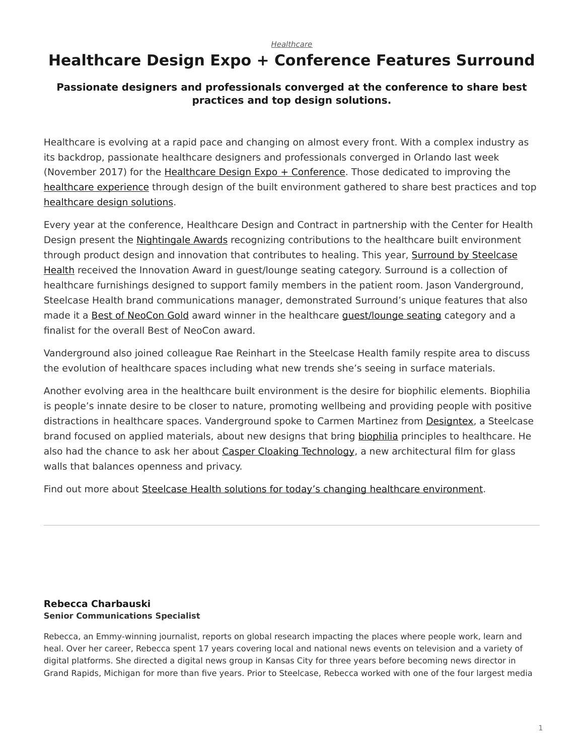#### *[Healthcare](https://www.steelcase.com/research/topics/healthcare/)*

# <span id="page-0-0"></span>**Healthcare Design Expo + Conference Features Surround**

### **Passionate designers and professionals converged at the conference to share best practices and top design solutions.**

Healthcare is evolving at a rapid pace and changing on almost every front. With a complex industry as its backdrop, passionate healthcare designers and professionals converged in Orlando last week (November 2017) for the [Healthcare Design Expo + Conference](https://www.hcdexpo.com/). Those dedicated to improving the [healthcare experience](https://www.steelcase.com/spaces-inspiration/health-spaces-exam/) through design of the built environment gathered to share best practices and top [healthcare design solutions.](https://www.steelcase.com/discover/information/health/)

Every year at the conference, Healthcare Design and Contract in partnership with the Center for Health Design present the [Nightingale Awards](https://www.healthcaredesignmagazine.com/news/awards-events/nightingale-award-winners-named-hcd-expo/) recognizing contributions to the healthcare built environment through product design and innovation that contributes to healing. This year, [Surround by Steelcase](https://www.steelcase.com/products/sofas/surround-sleeper/) [Health](https://www.steelcase.com/products/sofas/surround-sleeper/) received the Innovation Award in guest/lounge seating category. Surround is a collection of healthcare furnishings designed to support family members in the patient room. Jason Vanderground, Steelcase Health brand communications manager, demonstrated Surround's unique features that also made it a [Best of NeoCon Gold](https://www.steelcase.com/research/articles/topics/best-of-neocon/steelcase-receives-top-honors-neocon-2017/) award winner in the healthcare [guest/lounge seating](https://www.steelcase.com/products/side-guest-chairs/) category and a finalist for the overall Best of NeoCon award.

Vanderground also joined colleague Rae Reinhart in the Steelcase Health family respite area to discuss the evolution of healthcare spaces including what new trends she's seeing in surface materials.

Another evolving area in the healthcare built environment is the desire for biophilic elements. Biophilia is people's innate desire to be closer to nature, promoting wellbeing and providing people with positive distractions in healthcare spaces. Vanderground spoke to Carmen Martinez from [Designtex,](http://www.designtex.com/) a Steelcase brand focused on applied materials, about new designs that bring [biophilia](https://www.steelcase.com/research/articles/topics/wellbeing/restoration-office/) principles to healthcare. He also had the chance to ask her about [Casper Cloaking Technology,](https://www.steelcase.com/research/articles/topics/innovation/casper-cloaking-technology-privacy-transparency/) a new architectural film for glass walls that balances openness and privacy.

Find out more about [Steelcase Health solutions for today's changing healthcare environment.](https://www.steelcase.com/discover/information/health/)

#### **[Rebecca Charbauski](https://www.steelcase.com/research/articles/author/rcharbausteelcase-com/) Senior Communications Specialist**

Rebecca, an Emmy-winning journalist, reports on global research impacting the places where people work, learn and heal. Over her career, Rebecca spent 17 years covering local and national news events on television and a variety of digital platforms. She directed a digital news group in Kansas City for three years before becoming news director in Grand Rapids, Michigan for more than five years. Prior to Steelcase, Rebecca worked with one of the four largest media